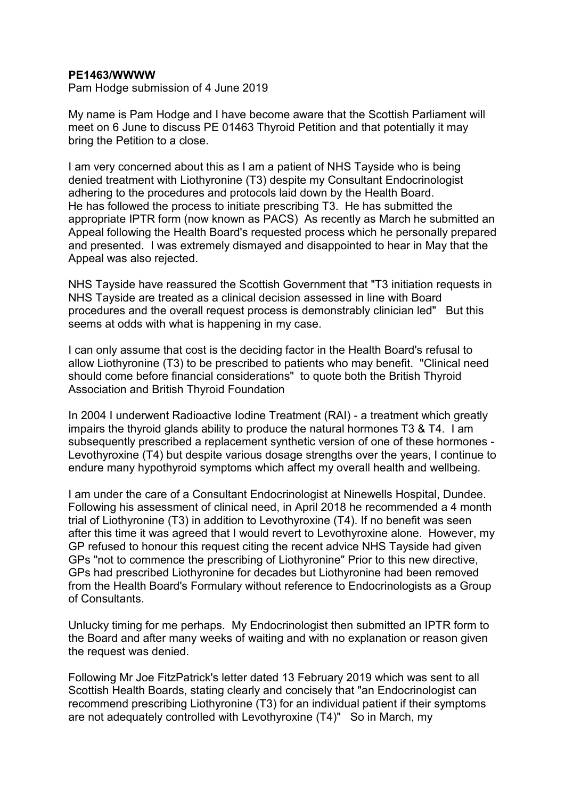## **PE1463/WWWW**

Pam Hodge submission of 4 June 2019

My name is Pam Hodge and I have become aware that the Scottish Parliament will meet on 6 June to discuss PE 01463 Thyroid Petition and that potentially it may bring the Petition to a close.

I am very concerned about this as I am a patient of NHS Tayside who is being denied treatment with Liothyronine (T3) despite my Consultant Endocrinologist adhering to the procedures and protocols laid down by the Health Board. He has followed the process to initiate prescribing T3. He has submitted the appropriate IPTR form (now known as PACS) As recently as March he submitted an Appeal following the Health Board's requested process which he personally prepared and presented. I was extremely dismayed and disappointed to hear in May that the Appeal was also rejected.

NHS Tayside have reassured the Scottish Government that "T3 initiation requests in NHS Tayside are treated as a clinical decision assessed in line with Board procedures and the overall request process is demonstrably clinician led" But this seems at odds with what is happening in my case.

I can only assume that cost is the deciding factor in the Health Board's refusal to allow Liothyronine (T3) to be prescribed to patients who may benefit. "Clinical need should come before financial considerations" to quote both the British Thyroid Association and British Thyroid Foundation

In 2004 I underwent Radioactive Iodine Treatment (RAI) - a treatment which greatly impairs the thyroid glands ability to produce the natural hormones T3 & T4. I am subsequently prescribed a replacement synthetic version of one of these hormones - Levothyroxine (T4) but despite various dosage strengths over the years, I continue to endure many hypothyroid symptoms which affect my overall health and wellbeing.

I am under the care of a Consultant Endocrinologist at Ninewells Hospital, Dundee. Following his assessment of clinical need, in April 2018 he recommended a 4 month trial of Liothyronine (T3) in addition to Levothyroxine (T4). If no benefit was seen after this time it was agreed that I would revert to Levothyroxine alone. However, my GP refused to honour this request citing the recent advice NHS Tayside had given GPs "not to commence the prescribing of Liothyronine" Prior to this new directive, GPs had prescribed Liothyronine for decades but Liothyronine had been removed from the Health Board's Formulary without reference to Endocrinologists as a Group of Consultants.

Unlucky timing for me perhaps. My Endocrinologist then submitted an IPTR form to the Board and after many weeks of waiting and with no explanation or reason given the request was denied.

Following Mr Joe FitzPatrick's letter dated 13 February 2019 which was sent to all Scottish Health Boards, stating clearly and concisely that "an Endocrinologist can recommend prescribing Liothyronine (T3) for an individual patient if their symptoms are not adequately controlled with Levothyroxine (T4)" So in March, my